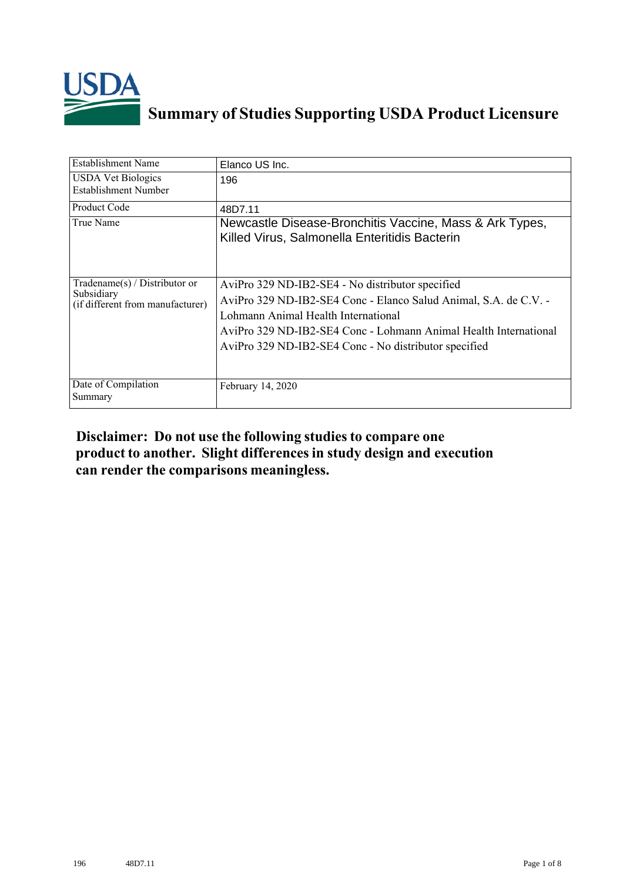

## **Summary of Studies Supporting USDA Product Licensure**

| <b>Establishment Name</b>                                                       | Elanco US Inc.                                                                                                                                                                                                                                                                           |
|---------------------------------------------------------------------------------|------------------------------------------------------------------------------------------------------------------------------------------------------------------------------------------------------------------------------------------------------------------------------------------|
| <b>USDA Vet Biologics</b><br><b>Establishment Number</b>                        | 196                                                                                                                                                                                                                                                                                      |
| Product Code                                                                    | 48D7.11                                                                                                                                                                                                                                                                                  |
| True Name                                                                       | Newcastle Disease-Bronchitis Vaccine, Mass & Ark Types,<br>Killed Virus, Salmonella Enteritidis Bacterin                                                                                                                                                                                 |
| Tradename(s) / Distributor or<br>Subsidiary<br>(if different from manufacturer) | AviPro 329 ND-IB2-SE4 - No distributor specified<br>AviPro 329 ND-IB2-SE4 Conc - Elanco Salud Animal, S.A. de C.V. -<br>Lohmann Animal Health International<br>AviPro 329 ND-IB2-SE4 Conc - Lohmann Animal Health International<br>AviPro 329 ND-IB2-SE4 Conc - No distributor specified |
| Date of Compilation<br>Summary                                                  | February 14, 2020                                                                                                                                                                                                                                                                        |

## **Disclaimer: Do not use the following studiesto compare one product to another. Slight differencesin study design and execution can render the comparisons meaningless.**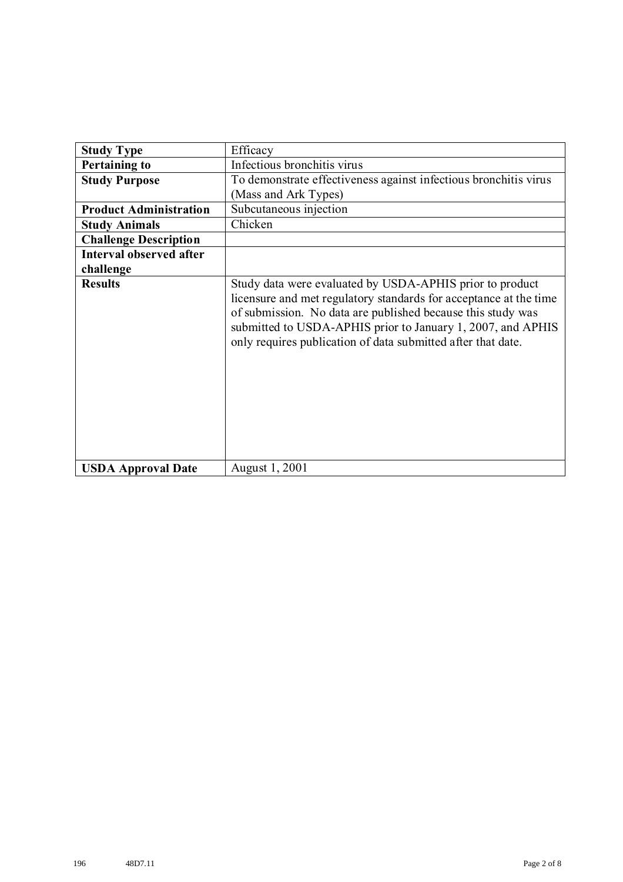| <b>Study Type</b>              | Efficacy                                                                                                                                                                                                                                                                                                                    |
|--------------------------------|-----------------------------------------------------------------------------------------------------------------------------------------------------------------------------------------------------------------------------------------------------------------------------------------------------------------------------|
| <b>Pertaining to</b>           | Infectious bronchitis virus                                                                                                                                                                                                                                                                                                 |
| <b>Study Purpose</b>           | To demonstrate effectiveness against infectious bronchitis virus                                                                                                                                                                                                                                                            |
|                                | (Mass and Ark Types)                                                                                                                                                                                                                                                                                                        |
| <b>Product Administration</b>  | Subcutaneous injection                                                                                                                                                                                                                                                                                                      |
| <b>Study Animals</b>           | Chicken                                                                                                                                                                                                                                                                                                                     |
| <b>Challenge Description</b>   |                                                                                                                                                                                                                                                                                                                             |
| <b>Interval observed after</b> |                                                                                                                                                                                                                                                                                                                             |
| challenge                      |                                                                                                                                                                                                                                                                                                                             |
| <b>Results</b>                 | Study data were evaluated by USDA-APHIS prior to product<br>licensure and met regulatory standards for acceptance at the time<br>of submission. No data are published because this study was<br>submitted to USDA-APHIS prior to January 1, 2007, and APHIS<br>only requires publication of data submitted after that date. |
| <b>USDA Approval Date</b>      | August 1, 2001                                                                                                                                                                                                                                                                                                              |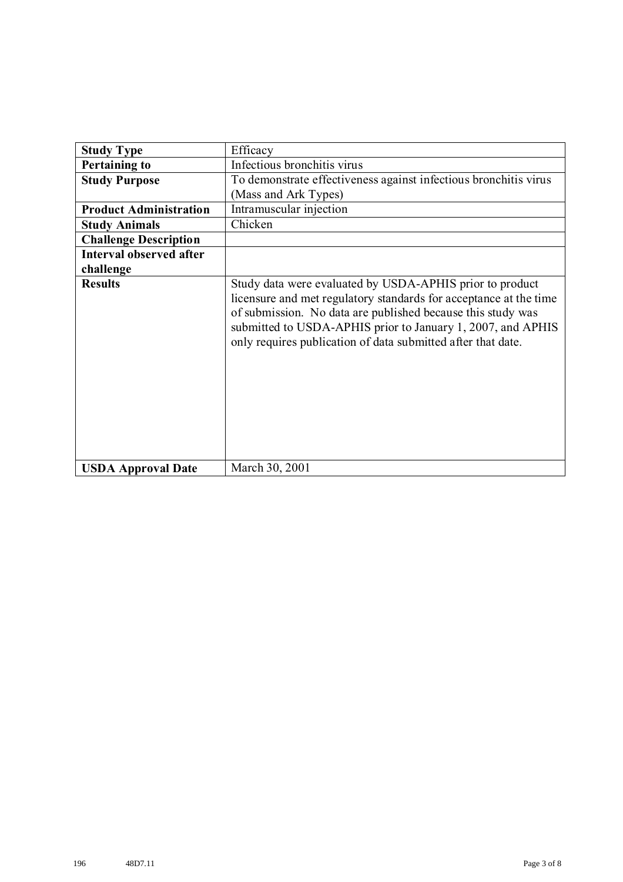| <b>Study Type</b>             | Efficacy                                                                                                                                                                                                                                                                                                                    |
|-------------------------------|-----------------------------------------------------------------------------------------------------------------------------------------------------------------------------------------------------------------------------------------------------------------------------------------------------------------------------|
| <b>Pertaining to</b>          | Infectious bronchitis virus                                                                                                                                                                                                                                                                                                 |
| <b>Study Purpose</b>          | To demonstrate effectiveness against infectious bronchitis virus                                                                                                                                                                                                                                                            |
|                               | (Mass and Ark Types)                                                                                                                                                                                                                                                                                                        |
| <b>Product Administration</b> | Intramuscular injection                                                                                                                                                                                                                                                                                                     |
| <b>Study Animals</b>          | Chicken                                                                                                                                                                                                                                                                                                                     |
| <b>Challenge Description</b>  |                                                                                                                                                                                                                                                                                                                             |
| Interval observed after       |                                                                                                                                                                                                                                                                                                                             |
| challenge                     |                                                                                                                                                                                                                                                                                                                             |
| <b>Results</b>                | Study data were evaluated by USDA-APHIS prior to product<br>licensure and met regulatory standards for acceptance at the time<br>of submission. No data are published because this study was<br>submitted to USDA-APHIS prior to January 1, 2007, and APHIS<br>only requires publication of data submitted after that date. |
| <b>USDA Approval Date</b>     | March 30, 2001                                                                                                                                                                                                                                                                                                              |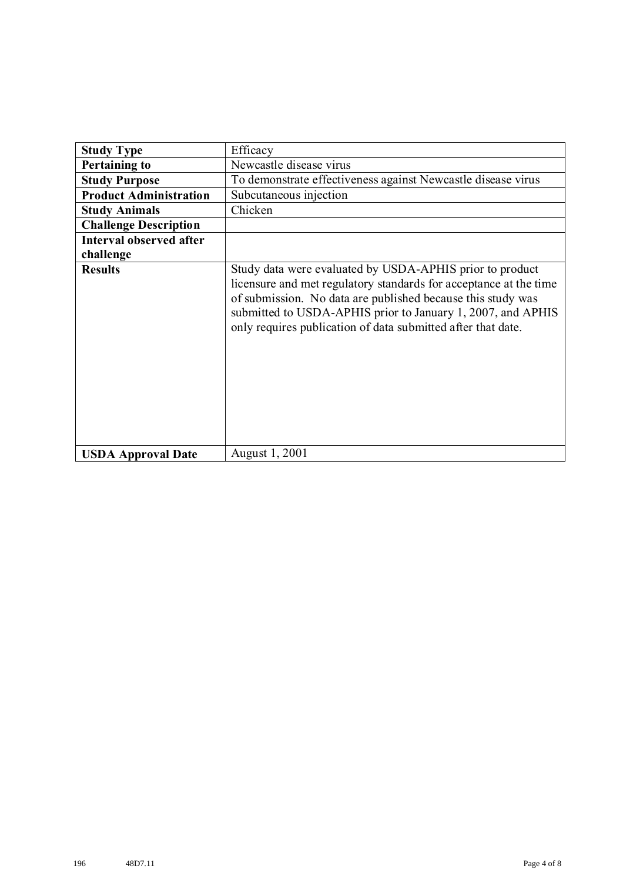| <b>Study Type</b>              | Efficacy                                                                                                                                                                                                                                                                                                                    |
|--------------------------------|-----------------------------------------------------------------------------------------------------------------------------------------------------------------------------------------------------------------------------------------------------------------------------------------------------------------------------|
| <b>Pertaining to</b>           | Newcastle disease virus                                                                                                                                                                                                                                                                                                     |
| <b>Study Purpose</b>           | To demonstrate effectiveness against Newcastle disease virus                                                                                                                                                                                                                                                                |
| <b>Product Administration</b>  | Subcutaneous injection                                                                                                                                                                                                                                                                                                      |
| <b>Study Animals</b>           | Chicken                                                                                                                                                                                                                                                                                                                     |
| <b>Challenge Description</b>   |                                                                                                                                                                                                                                                                                                                             |
| <b>Interval observed after</b> |                                                                                                                                                                                                                                                                                                                             |
| challenge                      |                                                                                                                                                                                                                                                                                                                             |
| <b>Results</b>                 | Study data were evaluated by USDA-APHIS prior to product<br>licensure and met regulatory standards for acceptance at the time<br>of submission. No data are published because this study was<br>submitted to USDA-APHIS prior to January 1, 2007, and APHIS<br>only requires publication of data submitted after that date. |
| <b>USDA Approval Date</b>      | August 1, 2001                                                                                                                                                                                                                                                                                                              |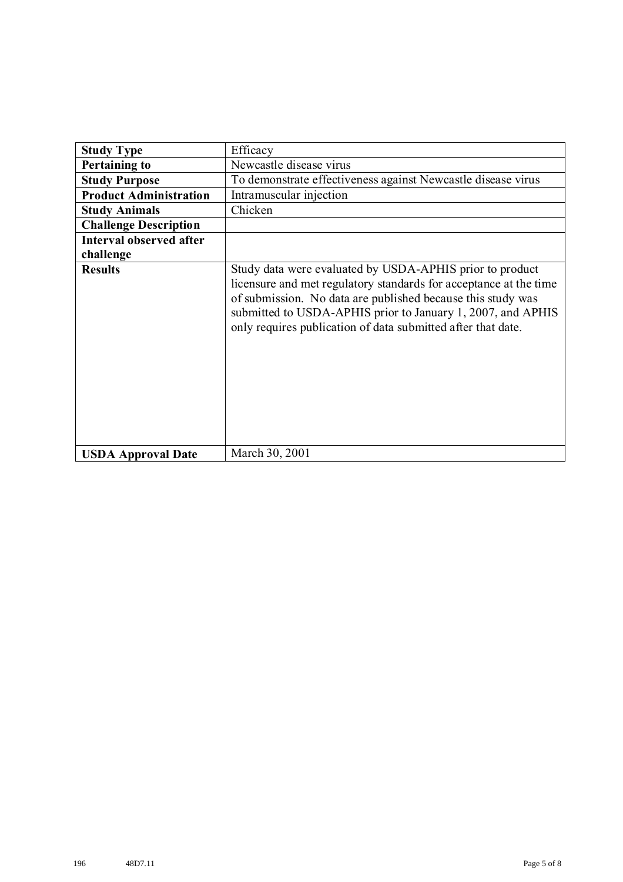| <b>Study Type</b>             | Efficacy                                                                                                                                                                                                                                                                                                                    |
|-------------------------------|-----------------------------------------------------------------------------------------------------------------------------------------------------------------------------------------------------------------------------------------------------------------------------------------------------------------------------|
| <b>Pertaining to</b>          | Newcastle disease virus                                                                                                                                                                                                                                                                                                     |
| <b>Study Purpose</b>          | To demonstrate effectiveness against Newcastle disease virus                                                                                                                                                                                                                                                                |
| <b>Product Administration</b> | Intramuscular injection                                                                                                                                                                                                                                                                                                     |
| <b>Study Animals</b>          | Chicken                                                                                                                                                                                                                                                                                                                     |
| <b>Challenge Description</b>  |                                                                                                                                                                                                                                                                                                                             |
| Interval observed after       |                                                                                                                                                                                                                                                                                                                             |
| challenge                     |                                                                                                                                                                                                                                                                                                                             |
| <b>Results</b>                | Study data were evaluated by USDA-APHIS prior to product<br>licensure and met regulatory standards for acceptance at the time<br>of submission. No data are published because this study was<br>submitted to USDA-APHIS prior to January 1, 2007, and APHIS<br>only requires publication of data submitted after that date. |
| <b>USDA Approval Date</b>     | March 30, 2001                                                                                                                                                                                                                                                                                                              |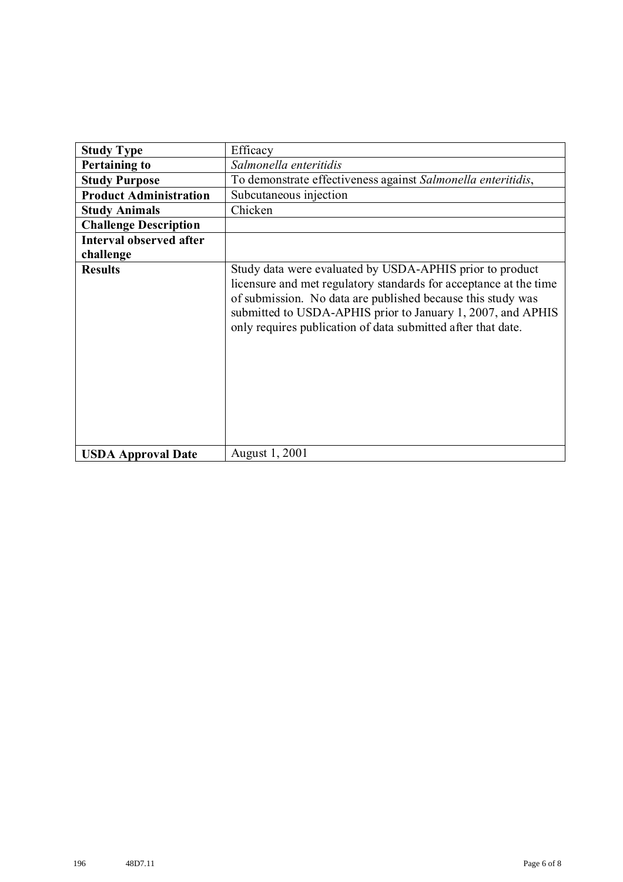| <b>Study Type</b>              | Efficacy                                                                                                                                                                                                                                                                                                                    |
|--------------------------------|-----------------------------------------------------------------------------------------------------------------------------------------------------------------------------------------------------------------------------------------------------------------------------------------------------------------------------|
| <b>Pertaining to</b>           | Salmonella enteritidis                                                                                                                                                                                                                                                                                                      |
| <b>Study Purpose</b>           | To demonstrate effectiveness against Salmonella enteritidis,                                                                                                                                                                                                                                                                |
| <b>Product Administration</b>  | Subcutaneous injection                                                                                                                                                                                                                                                                                                      |
| <b>Study Animals</b>           | Chicken                                                                                                                                                                                                                                                                                                                     |
| <b>Challenge Description</b>   |                                                                                                                                                                                                                                                                                                                             |
| <b>Interval observed after</b> |                                                                                                                                                                                                                                                                                                                             |
| challenge                      |                                                                                                                                                                                                                                                                                                                             |
| <b>Results</b>                 | Study data were evaluated by USDA-APHIS prior to product<br>licensure and met regulatory standards for acceptance at the time<br>of submission. No data are published because this study was<br>submitted to USDA-APHIS prior to January 1, 2007, and APHIS<br>only requires publication of data submitted after that date. |
| <b>USDA Approval Date</b>      | August 1, 2001                                                                                                                                                                                                                                                                                                              |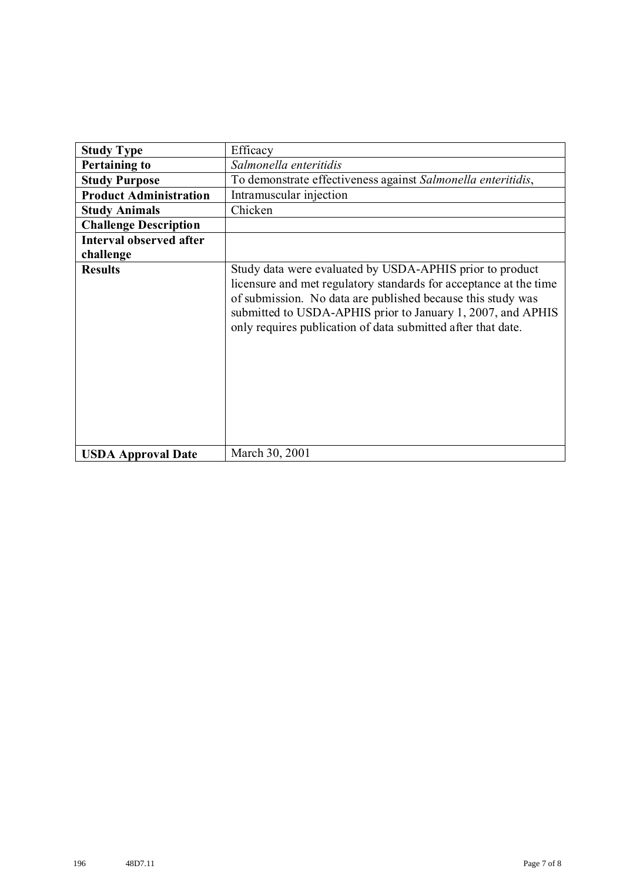| <b>Study Type</b>              | Efficacy                                                                                                                                                                                                                                                                                                                    |
|--------------------------------|-----------------------------------------------------------------------------------------------------------------------------------------------------------------------------------------------------------------------------------------------------------------------------------------------------------------------------|
| <b>Pertaining to</b>           | Salmonella enteritidis                                                                                                                                                                                                                                                                                                      |
| <b>Study Purpose</b>           | To demonstrate effectiveness against Salmonella enteritidis,                                                                                                                                                                                                                                                                |
| <b>Product Administration</b>  | Intramuscular injection                                                                                                                                                                                                                                                                                                     |
| <b>Study Animals</b>           | Chicken                                                                                                                                                                                                                                                                                                                     |
| <b>Challenge Description</b>   |                                                                                                                                                                                                                                                                                                                             |
| <b>Interval observed after</b> |                                                                                                                                                                                                                                                                                                                             |
| challenge                      |                                                                                                                                                                                                                                                                                                                             |
| <b>Results</b>                 | Study data were evaluated by USDA-APHIS prior to product<br>licensure and met regulatory standards for acceptance at the time<br>of submission. No data are published because this study was<br>submitted to USDA-APHIS prior to January 1, 2007, and APHIS<br>only requires publication of data submitted after that date. |
| <b>USDA Approval Date</b>      | March 30, 2001                                                                                                                                                                                                                                                                                                              |